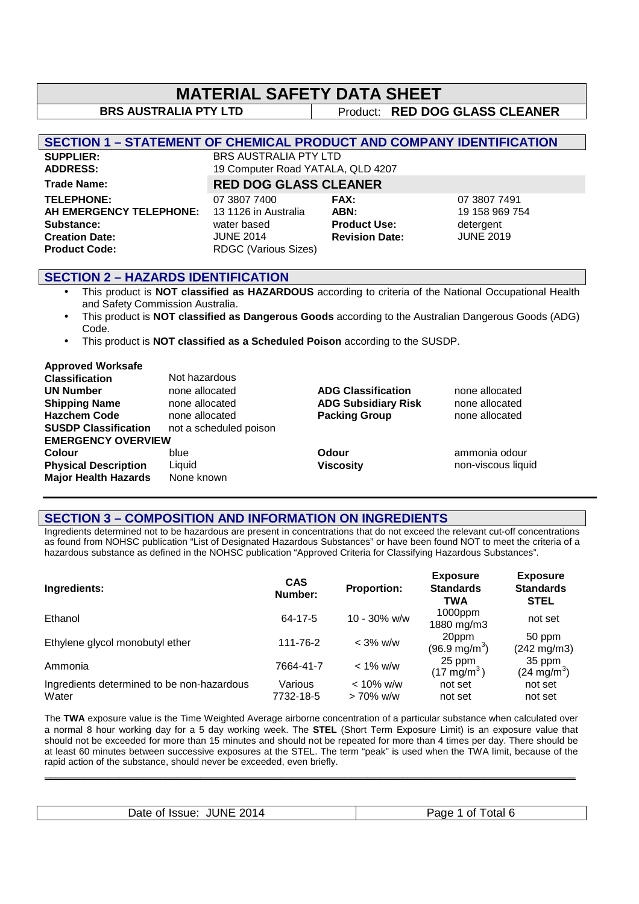| <b>MATERIAL SAFETY DATA SHEET</b>                                                                           |                                                                                                 |                                                              |  |                                                                 |
|-------------------------------------------------------------------------------------------------------------|-------------------------------------------------------------------------------------------------|--------------------------------------------------------------|--|-----------------------------------------------------------------|
| <b>BRS AUSTRALIA PTY LTD</b>                                                                                |                                                                                                 |                                                              |  | Product: RED DOG GLASS CLEANER                                  |
|                                                                                                             |                                                                                                 |                                                              |  |                                                                 |
| <b>SECTION 1 - STATEMENT OF CHEMICAL PRODUCT AND COMPANY IDENTIFICATION</b>                                 |                                                                                                 |                                                              |  |                                                                 |
| <b>SUPPLIER:</b><br><b>ADDRESS:</b>                                                                         | <b>BRS AUSTRALIA PTY LTD</b><br>19 Computer Road YATALA, QLD 4207                               |                                                              |  |                                                                 |
| <b>Trade Name:</b>                                                                                          | <b>RED DOG GLASS CLEANER</b>                                                                    |                                                              |  |                                                                 |
| <b>TELEPHONE:</b><br>AH EMERGENCY TELEPHONE:<br>Substance:<br><b>Creation Date:</b><br><b>Product Code:</b> | 07 3807 7400<br>13 1126 in Australia<br>water based<br><b>JUNE 2014</b><br>RDGC (Various Sizes) | FAX:<br>ABN:<br><b>Product Use:</b><br><b>Revision Date:</b> |  | 07 3807 7491<br>19 158 969 754<br>detergent<br><b>JUNE 2019</b> |

#### **SECTION 2 – HAZARDS IDENTIFICATION**

 $\overline{\phantom{a}}$ 

- This product is **NOT classified as HAZARDOUS** according to criteria of the National Occupational Health and Safety Commission Australia.
- This product is **NOT classified as Dangerous Goods** according to the Australian Dangerous Goods (ADG) Code.
- This product is **NOT classified as a Scheduled Poison** according to the SUSDP.

| <b>Approved Worksafe</b>    |                        |                            |                    |
|-----------------------------|------------------------|----------------------------|--------------------|
| <b>Classification</b>       | Not hazardous          |                            |                    |
| <b>UN Number</b>            | none allocated         | <b>ADG Classification</b>  | none allocated     |
| <b>Shipping Name</b>        | none allocated         | <b>ADG Subsidiary Risk</b> | none allocated     |
| <b>Hazchem Code</b>         | none allocated         | <b>Packing Group</b>       | none allocated     |
| <b>SUSDP Classification</b> | not a scheduled poison |                            |                    |
| <b>EMERGENCY OVERVIEW</b>   |                        |                            |                    |
| <b>Colour</b>               | blue                   | Odour                      | ammonia odour      |
| <b>Physical Description</b> | Liquid                 | <b>Viscosity</b>           | non-viscous liquid |
| <b>Major Health Hazards</b> | None known             |                            |                    |

#### **SECTION 3 – COMPOSITION AND INFORMATION ON INGREDIENTS**

Ingredients determined not to be hazardous are present in concentrations that do not exceed the relevant cut-off concentrations as found from NOHSC publication "List of Designated Hazardous Substances" or have been found NOT to meet the criteria of a hazardous substance as defined in the NOHSC publication "Approved Criteria for Classifying Hazardous Substances".

| Ingredients:                                        | <b>CAS</b><br>Number: | <b>Proportion:</b>           | <b>Exposure</b><br><b>Standards</b><br><b>TWA</b> | <b>Exposure</b><br><b>Standards</b><br><b>STEL</b> |
|-----------------------------------------------------|-----------------------|------------------------------|---------------------------------------------------|----------------------------------------------------|
| Ethanol                                             | 64-17-5               | $10 - 30\%$ w/w              | $1000$ ppm<br>1880 mg/m3                          | not set                                            |
| Ethylene glycol monobutyl ether                     | 111-76-2              | $<$ 3% w/w                   | 20ppm<br>$(96.9 \,\mathrm{mg/m^3})$               | 50 ppm<br>$(242 \text{ mg/m3})$                    |
| Ammonia                                             | 7664-41-7             | $< 1\%$ w/w                  | 25 ppm<br>(17 mg/m <sup>3</sup> )                 | 35 ppm<br>$(24 \text{ mg/m}^3)$                    |
| Ingredients determined to be non-hazardous<br>Water | Various<br>7732-18-5  | $< 10\%$ w/w<br>$> 70\%$ w/w | not set<br>not set                                | not set<br>not set                                 |

The **TWA** exposure value is the Time Weighted Average airborne concentration of a particular substance when calculated over a normal 8 hour working day for a 5 day working week. The **STEL** (Short Term Exposure Limit) is an exposure value that should not be exceeded for more than 15 minutes and should not be repeated for more than 4 times per day. There should be at least 60 minutes between successive exposures at the STEL. The term "peak" is used when the TWA limit, because of the rapid action of the substance, should never be exceeded, even briefly.

**\_\_\_\_\_\_\_\_\_\_\_\_\_\_\_\_\_\_\_\_\_\_\_\_\_\_\_\_\_\_\_\_\_\_\_\_\_\_\_\_\_\_\_\_\_\_\_\_\_\_\_\_\_\_\_\_\_\_\_\_\_\_\_\_\_\_\_\_\_\_\_\_\_\_\_\_\_\_\_\_\_\_\_\_\_\_\_\_\_\_\_\_** 

|  | <b>JUNE 2014</b><br>Date of Issue: | otal 6<br>nt. |
|--|------------------------------------|---------------|
|--|------------------------------------|---------------|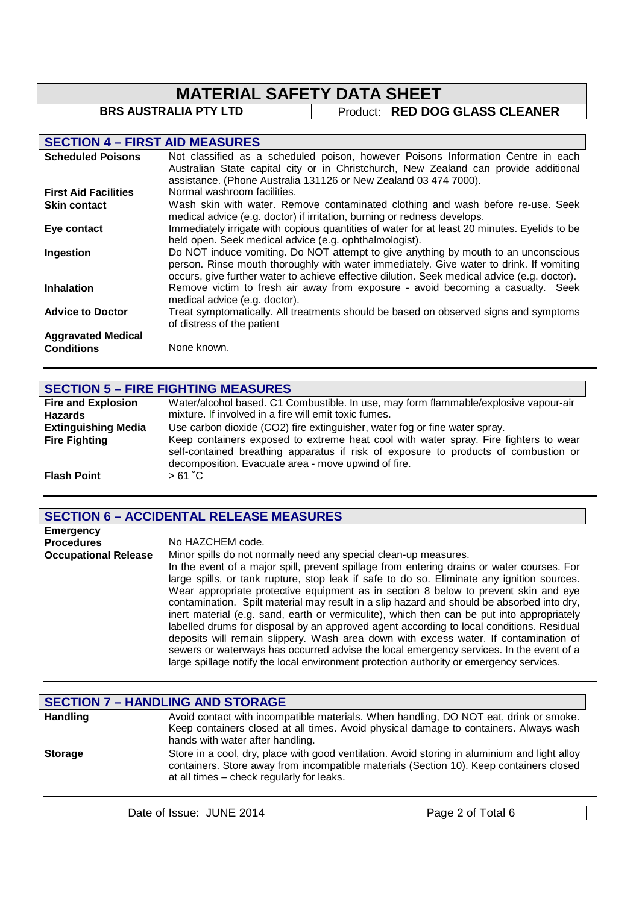# **MATERIAL SAFETY DATA SHEET**<br>BRS AUSTRALIA PTY LTD | Product: RED DOG

**Product: RED DOG GLASS CLEANER** 

# **SECTION 4 – FIRST AID MEASURES**

| <b>Scheduled Poisons</b>    | Not classified as a scheduled poison, however Poisons Information Centre in each<br>Australian State capital city or in Christchurch, New Zealand can provide additional                                                                                                      |
|-----------------------------|-------------------------------------------------------------------------------------------------------------------------------------------------------------------------------------------------------------------------------------------------------------------------------|
|                             | assistance. (Phone Australia 131126 or New Zealand 03 474 7000).                                                                                                                                                                                                              |
| <b>First Aid Facilities</b> | Normal washroom facilities.                                                                                                                                                                                                                                                   |
| <b>Skin contact</b>         | Wash skin with water. Remove contaminated clothing and wash before re-use. Seek<br>medical advice (e.g. doctor) if irritation, burning or redness develops.                                                                                                                   |
| Eye contact                 | Immediately irrigate with copious quantities of water for at least 20 minutes. Eyelids to be<br>held open. Seek medical advice (e.g. ophthalmologist).                                                                                                                        |
| Ingestion                   | Do NOT induce vomiting. Do NOT attempt to give anything by mouth to an unconscious<br>person. Rinse mouth thoroughly with water immediately. Give water to drink. If vomiting<br>occurs, give further water to achieve effective dilution. Seek medical advice (e.g. doctor). |
| <b>Inhalation</b>           | Remove victim to fresh air away from exposure - avoid becoming a casualty. Seek<br>medical advice (e.g. doctor).                                                                                                                                                              |
| <b>Advice to Doctor</b>     | Treat symptomatically. All treatments should be based on observed signs and symptoms<br>of distress of the patient                                                                                                                                                            |
| <b>Aggravated Medical</b>   |                                                                                                                                                                                                                                                                               |
| <b>Conditions</b>           | None known.                                                                                                                                                                                                                                                                   |

# **SECTION 5 – FIRE FIGHTING MEASURES**

| <b>Fire and Explosion</b>  | Water/alcohol based. C1 Combustible. In use, may form flammable/explosive vapour-air                                                                                                                                               |
|----------------------------|------------------------------------------------------------------------------------------------------------------------------------------------------------------------------------------------------------------------------------|
| <b>Hazards</b>             | mixture. If involved in a fire will emit toxic fumes.                                                                                                                                                                              |
| <b>Extinguishing Media</b> | Use carbon dioxide (CO2) fire extinguisher, water fog or fine water spray.                                                                                                                                                         |
| <b>Fire Fighting</b>       | Keep containers exposed to extreme heat cool with water spray. Fire fighters to wear<br>self-contained breathing apparatus if risk of exposure to products of combustion or<br>decomposition. Evacuate area - move upwind of fire. |
| <b>Flash Point</b>         | $>61^{\circ}$ C                                                                                                                                                                                                                    |

# **SECTION 6 – ACCIDENTAL RELEASE MEASURES**

| <b>Emergency</b>            |                                                                                                                                                                                                                                                                                                                                                                                                                                                                                                                                                                                                                                                                                                                                                                                                                                                                                                                           |
|-----------------------------|---------------------------------------------------------------------------------------------------------------------------------------------------------------------------------------------------------------------------------------------------------------------------------------------------------------------------------------------------------------------------------------------------------------------------------------------------------------------------------------------------------------------------------------------------------------------------------------------------------------------------------------------------------------------------------------------------------------------------------------------------------------------------------------------------------------------------------------------------------------------------------------------------------------------------|
| <b>Procedures</b>           | No HAZCHEM code.                                                                                                                                                                                                                                                                                                                                                                                                                                                                                                                                                                                                                                                                                                                                                                                                                                                                                                          |
| <b>Occupational Release</b> | Minor spills do not normally need any special clean-up measures.<br>In the event of a major spill, prevent spillage from entering drains or water courses. For<br>large spills, or tank rupture, stop leak if safe to do so. Eliminate any ignition sources.<br>Wear appropriate protective equipment as in section 8 below to prevent skin and eye<br>contamination. Spilt material may result in a slip hazard and should be absorbed into dry,<br>inert material (e.g. sand, earth or vermiculite), which then can be put into appropriately<br>labelled drums for disposal by an approved agent according to local conditions. Residual<br>deposits will remain slippery. Wash area down with excess water. If contamination of<br>sewers or waterways has occurred advise the local emergency services. In the event of a<br>large spillage notify the local environment protection authority or emergency services. |

|                 | <b>SECTION 7 - HANDLING AND STORAGE</b>                                                                                                                                                                                               |
|-----------------|---------------------------------------------------------------------------------------------------------------------------------------------------------------------------------------------------------------------------------------|
| <b>Handling</b> | Avoid contact with incompatible materials. When handling, DO NOT eat, drink or smoke.<br>Keep containers closed at all times. Avoid physical damage to containers. Always wash<br>hands with water after handling.                    |
| <b>Storage</b>  | Store in a cool, dry, place with good ventilation. Avoid storing in aluminium and light alloy<br>containers. Store away from incompatible materials (Section 10). Keep containers closed<br>at all times - check regularly for leaks. |

| <b>JUNE</b>    | Page $\angle$ |
|----------------|---------------|
| 2014           | otal 6        |
| Date of Issue: | ' of ∶        |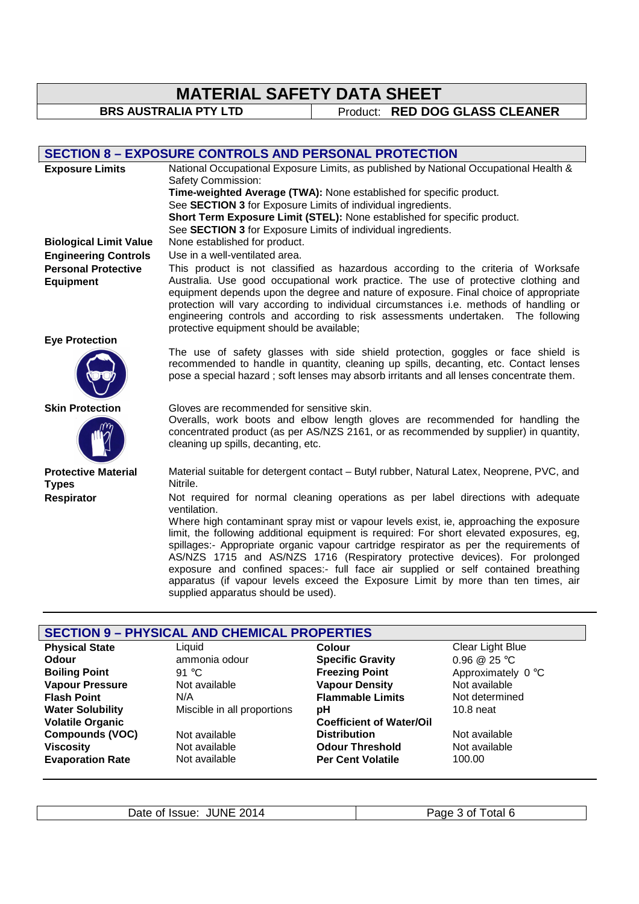# **MATERIAL SAFETY DATA SHEET**

**BRS AUSTRALIA PTY LTD** Product: **RED DOG GLASS CLEANER** 

# **SECTION 8 – EXPOSURE CONTROLS AND PERSONAL PROTECTION**

| <b>Exposure Limits</b>                         | National Occupational Exposure Limits, as published by National Occupational Health &<br>Safety Commission:<br>Time-weighted Average (TWA): None established for specific product.<br>See SECTION 3 for Exposure Limits of individual ingredients.<br>Short Term Exposure Limit (STEL): None established for specific product.<br>See SECTION 3 for Exposure Limits of individual ingredients.                                                                                                                                                                               |
|------------------------------------------------|------------------------------------------------------------------------------------------------------------------------------------------------------------------------------------------------------------------------------------------------------------------------------------------------------------------------------------------------------------------------------------------------------------------------------------------------------------------------------------------------------------------------------------------------------------------------------|
| <b>Biological Limit Value</b>                  | None established for product.                                                                                                                                                                                                                                                                                                                                                                                                                                                                                                                                                |
| <b>Engineering Controls</b>                    | Use in a well-ventilated area.                                                                                                                                                                                                                                                                                                                                                                                                                                                                                                                                               |
| <b>Personal Protective</b><br><b>Equipment</b> | This product is not classified as hazardous according to the criteria of Worksafe<br>Australia. Use good occupational work practice. The use of protective clothing and<br>equipment depends upon the degree and nature of exposure. Final choice of appropriate<br>protection will vary according to individual circumstances i.e. methods of handling or<br>engineering controls and according to risk assessments undertaken. The following<br>protective equipment should be available;                                                                                  |
| <b>Eye Protection</b>                          |                                                                                                                                                                                                                                                                                                                                                                                                                                                                                                                                                                              |
|                                                | The use of safety glasses with side shield protection, goggles or face shield is<br>recommended to handle in quantity, cleaning up spills, decanting, etc. Contact lenses<br>pose a special hazard; soft lenses may absorb irritants and all lenses concentrate them.                                                                                                                                                                                                                                                                                                        |
| <b>Skin Protection</b>                         | Gloves are recommended for sensitive skin.<br>Overalls, work boots and elbow length gloves are recommended for handling the<br>concentrated product (as per AS/NZS 2161, or as recommended by supplier) in quantity,<br>cleaning up spills, decanting, etc.                                                                                                                                                                                                                                                                                                                  |
| <b>Protective Material</b><br><b>Types</b>     | Material suitable for detergent contact – Butyl rubber, Natural Latex, Neoprene, PVC, and<br>Nitrile.                                                                                                                                                                                                                                                                                                                                                                                                                                                                        |
| Respirator                                     | Not required for normal cleaning operations as per label directions with adequate<br>ventilation.                                                                                                                                                                                                                                                                                                                                                                                                                                                                            |
|                                                | Where high contaminant spray mist or vapour levels exist, ie, approaching the exposure<br>limit, the following additional equipment is required: For short elevated exposures, eg,<br>spillages:- Appropriate organic vapour cartridge respirator as per the requirements of<br>AS/NZS 1715 and AS/NZS 1716 (Respiratory protective devices). For prolonged<br>exposure and confined spaces:- full face air supplied or self contained breathing<br>apparatus (if vapour levels exceed the Exposure Limit by more than ten times, air<br>supplied apparatus should be used). |

| <b>SECTION 9 - PHYSICAL AND CHEMICAL PROPERTIES</b> |                             |                                 |                    |
|-----------------------------------------------------|-----------------------------|---------------------------------|--------------------|
| <b>Physical State</b>                               | Liquid                      | <b>Colour</b>                   | Clear Light Blue   |
| <b>Odour</b>                                        | ammonia odour               | <b>Specific Gravity</b>         | 0.96 $@$ 25 °C     |
| <b>Boiling Point</b>                                | 91 $^{\circ}$ C             | <b>Freezing Point</b>           | Approximately 0 °C |
| <b>Vapour Pressure</b>                              | Not available               | <b>Vapour Density</b>           | Not available      |
| <b>Flash Point</b>                                  | N/A                         | <b>Flammable Limits</b>         | Not determined     |
| <b>Water Solubility</b>                             | Miscible in all proportions | рH                              | $10.8$ neat        |
| <b>Volatile Organic</b>                             |                             | <b>Coefficient of Water/Oil</b> |                    |
| <b>Compounds (VOC)</b>                              | Not available               | <b>Distribution</b>             | Not available      |
| <b>Viscosity</b>                                    | Not available               | <b>Odour Threshold</b>          | Not available      |
| <b>Evaporation Rate</b>                             | Not available               | <b>Per Cent Volatile</b>        | 100.00             |
|                                                     |                             |                                 |                    |

Date of Issue: JUNE 2014 Page 3 of Total 6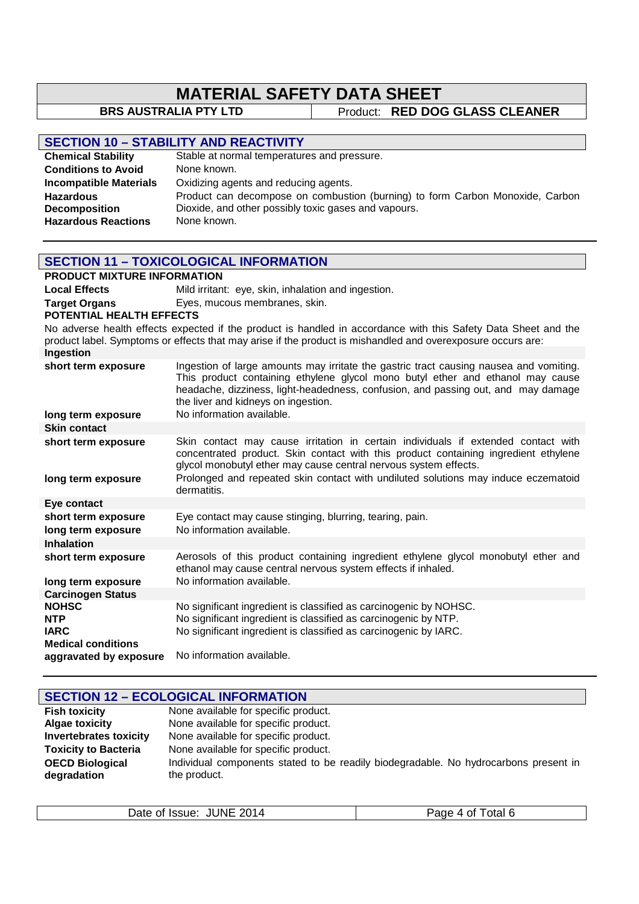# **MATERIAL SAFETY DATA SHEET**<br>BRS AUSTRALIA PTY LTD | Product: RED DOG

# **Product: RED DOG GLASS CLEANER**

| <b>SECTION 10 - STABILITY AND REACTIVITY</b> |                                                                               |  |
|----------------------------------------------|-------------------------------------------------------------------------------|--|
| <b>Chemical Stability</b>                    | Stable at normal temperatures and pressure.                                   |  |
| <b>Conditions to Avoid</b>                   | None known.                                                                   |  |
| <b>Incompatible Materials</b>                | Oxidizing agents and reducing agents.                                         |  |
| <b>Hazardous</b>                             | Product can decompose on combustion (burning) to form Carbon Monoxide, Carbon |  |
| <b>Decomposition</b>                         | Dioxide, and other possibly toxic gases and vapours.                          |  |
| <b>Hazardous Reactions</b>                   | None known.                                                                   |  |

|                                                                                                                                                                                                                               | <b>SECTION 11 - TOXICOLOGICAL INFORMATION</b>                                                                                                                                                                                                                                                                                      |  |  |  |
|-------------------------------------------------------------------------------------------------------------------------------------------------------------------------------------------------------------------------------|------------------------------------------------------------------------------------------------------------------------------------------------------------------------------------------------------------------------------------------------------------------------------------------------------------------------------------|--|--|--|
| <b>PRODUCT MIXTURE INFORMATION</b>                                                                                                                                                                                            |                                                                                                                                                                                                                                                                                                                                    |  |  |  |
| <b>Local Effects</b>                                                                                                                                                                                                          | Mild irritant: eye, skin, inhalation and ingestion.                                                                                                                                                                                                                                                                                |  |  |  |
| <b>Target Organs</b>                                                                                                                                                                                                          | Eyes, mucous membranes, skin.                                                                                                                                                                                                                                                                                                      |  |  |  |
| POTENTIAL HEALTH EFFECTS                                                                                                                                                                                                      |                                                                                                                                                                                                                                                                                                                                    |  |  |  |
| No adverse health effects expected if the product is handled in accordance with this Safety Data Sheet and the<br>product label. Symptoms or effects that may arise if the product is mishandled and overexposure occurs are: |                                                                                                                                                                                                                                                                                                                                    |  |  |  |
| Ingestion                                                                                                                                                                                                                     | Ingestion of large amounts may irritate the gastric tract causing nausea and vomiting.                                                                                                                                                                                                                                             |  |  |  |
| short term exposure                                                                                                                                                                                                           | This product containing ethylene glycol mono butyl ether and ethanol may cause<br>headache, dizziness, light-headedness, confusion, and passing out, and may damage<br>the liver and kidneys on ingestion.                                                                                                                         |  |  |  |
| long term exposure                                                                                                                                                                                                            | No information available.                                                                                                                                                                                                                                                                                                          |  |  |  |
| <b>Skin contact</b>                                                                                                                                                                                                           |                                                                                                                                                                                                                                                                                                                                    |  |  |  |
| short term exposure<br>long term exposure                                                                                                                                                                                     | Skin contact may cause irritation in certain individuals if extended contact with<br>concentrated product. Skin contact with this product containing ingredient ethylene<br>glycol monobutyl ether may cause central nervous system effects.<br>Prolonged and repeated skin contact with undiluted solutions may induce eczematoid |  |  |  |
|                                                                                                                                                                                                                               | dermatitis.                                                                                                                                                                                                                                                                                                                        |  |  |  |
| Eye contact                                                                                                                                                                                                                   |                                                                                                                                                                                                                                                                                                                                    |  |  |  |
| short term exposure<br>long term exposure                                                                                                                                                                                     | Eye contact may cause stinging, blurring, tearing, pain.<br>No information available.                                                                                                                                                                                                                                              |  |  |  |
| <b>Inhalation</b>                                                                                                                                                                                                             |                                                                                                                                                                                                                                                                                                                                    |  |  |  |
| short term exposure                                                                                                                                                                                                           | Aerosols of this product containing ingredient ethylene glycol monobutyl ether and<br>ethanol may cause central nervous system effects if inhaled.                                                                                                                                                                                 |  |  |  |
| long term exposure                                                                                                                                                                                                            | No information available.                                                                                                                                                                                                                                                                                                          |  |  |  |
| <b>Carcinogen Status</b><br><b>NOHSC</b>                                                                                                                                                                                      | No significant ingredient is classified as carcinogenic by NOHSC.                                                                                                                                                                                                                                                                  |  |  |  |
| <b>NTP</b>                                                                                                                                                                                                                    | No significant ingredient is classified as carcinogenic by NTP.                                                                                                                                                                                                                                                                    |  |  |  |
| <b>IARC</b>                                                                                                                                                                                                                   | No significant ingredient is classified as carcinogenic by IARC.                                                                                                                                                                                                                                                                   |  |  |  |
| <b>Medical conditions</b>                                                                                                                                                                                                     |                                                                                                                                                                                                                                                                                                                                    |  |  |  |
| aggravated by exposure                                                                                                                                                                                                        | No information available.                                                                                                                                                                                                                                                                                                          |  |  |  |

| <b>SECTION 12 - ECOLOGICAL INFORMATION</b> |                                                                                      |  |
|--------------------------------------------|--------------------------------------------------------------------------------------|--|
| <b>Fish toxicity</b>                       | None available for specific product.                                                 |  |
| <b>Algae toxicity</b>                      | None available for specific product.                                                 |  |
| <b>Invertebrates toxicity</b>              | None available for specific product.                                                 |  |
| <b>Toxicity to Bacteria</b>                | None available for specific product.                                                 |  |
| <b>OECD Biological</b>                     | Individual components stated to be readily biodegradable. No hydrocarbons present in |  |
| degradation                                | the product.                                                                         |  |

| <b>JUNE 2014</b><br>Date of Issue: | otal 6<br>$\sim$<br>Ωt<br>-2012<br>൧ |
|------------------------------------|--------------------------------------|
|                                    |                                      |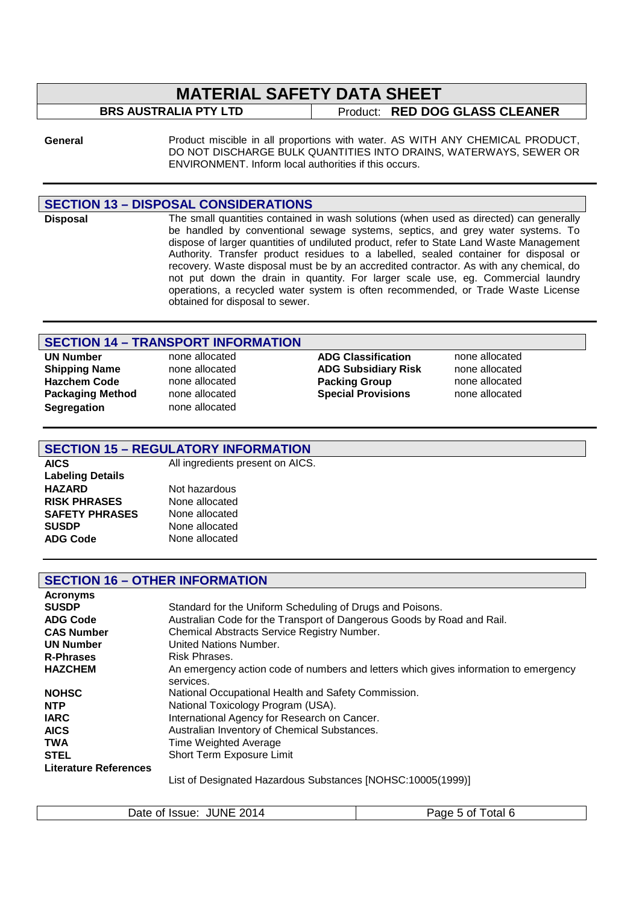# **MATERIAL SAFETY DATA SHEET**

**BRS AUSTRALIA PTY LTD** Product: **RED DOG GLASS CLEANER** 

**General** Product miscible in all proportions with water. AS WITH ANY CHEMICAL PRODUCT, DO NOT DISCHARGE BULK QUANTITIES INTO DRAINS, WATERWAYS, SEWER OR ENVIRONMENT. Inform local authorities if this occurs.

#### **SECTION 13 – DISPOSAL CONSIDERATIONS**

**Disposal** The small quantities contained in wash solutions (when used as directed) can generally be handled by conventional sewage systems, septics, and grey water systems. To dispose of larger quantities of undiluted product, refer to State Land Waste Management Authority. Transfer product residues to a labelled, sealed container for disposal or recovery. Waste disposal must be by an accredited contractor. As with any chemical, do not put down the drain in quantity. For larger scale use, eg. Commercial laundry operations, a recycled water system is often recommended, or Trade Waste License obtained for disposal to sewer.

### **SECTION 14 – TRANSPORT INFORMATION**

**UN Number** none allocated **ADG Classification** none allocated **Hazchem Code none allocated Packing Group Segregation** none allocated

**Shipping Name none allocated ADG Subsidiary Risk none allocated Hazchem Code none allocated Risk Hazchem Code ADG Subsidiary Risk none allocated Packaging Method** none allocated **Special Provisions** none allocated

### **SECTION 15 – REGULATORY INFORMATION**

**Labeling Details HAZARD** Not hazardous **RISK PHRASES** None allocated<br>**SAFETY PHRASES** None allocated **SAFETY PHRASES SUSDP** None allocated

**AICS** All ingredients present on AICS.

**ADG Code** None allocated

### **SECTION 16 – OTHER INFORMATION**

| <b>Acronyms</b>              |                                                                                                                                                                                                                                                                             |
|------------------------------|-----------------------------------------------------------------------------------------------------------------------------------------------------------------------------------------------------------------------------------------------------------------------------|
| <b>SUSDP</b>                 | Standard for the Uniform Scheduling of Drugs and Poisons.                                                                                                                                                                                                                   |
| <b>ADG Code</b>              | Australian Code for the Transport of Dangerous Goods by Road and Rail.                                                                                                                                                                                                      |
| <b>CAS Number</b>            | Chemical Abstracts Service Registry Number.                                                                                                                                                                                                                                 |
| <b>UN Number</b>             | United Nations Number.                                                                                                                                                                                                                                                      |
| <b>R-Phrases</b>             | Risk Phrases.                                                                                                                                                                                                                                                               |
| <b>HAZCHEM</b>               | An emergency action code of numbers and letters which gives information to emergency<br>services.                                                                                                                                                                           |
| <b>NOHSC</b>                 | National Occupational Health and Safety Commission.                                                                                                                                                                                                                         |
| <b>NTP</b>                   | National Toxicology Program (USA).                                                                                                                                                                                                                                          |
| <b>IARC</b>                  | International Agency for Research on Cancer.                                                                                                                                                                                                                                |
| <b>AICS</b>                  | Australian Inventory of Chemical Substances.                                                                                                                                                                                                                                |
| <b>TWA</b>                   | Time Weighted Average                                                                                                                                                                                                                                                       |
| <b>STEL</b>                  | Short Term Exposure Limit                                                                                                                                                                                                                                                   |
| <b>Literature References</b> |                                                                                                                                                                                                                                                                             |
|                              | $1!$ $(1 \n 2 \n 3 \n 5 \n 6 \n 7 \n 8 \n 8 \n 9 \n 11 \n 11 \n 12 \n 13 \n 14 \n 15 \n 16 \n 17 \n 18 \n 19 \n 10 \n 11 \n 10 \n 10 \n 10 \n 11 \n 10 \n 11 \n 10 \n 11 \n 10 \n 11 \n 10 \n 11 \n 10 \n 11 \n 10 \n 11 \n 10 \n 11 \n 10 \n 11 \n 10 \n 11 \n 10 \n 11 \$ |

List of Designated Hazardous Substances [NOHSC:10005(1999)]

| Date of Issue: JUNE 2014 | Page 5 of Total 6 |
|--------------------------|-------------------|
|                          |                   |